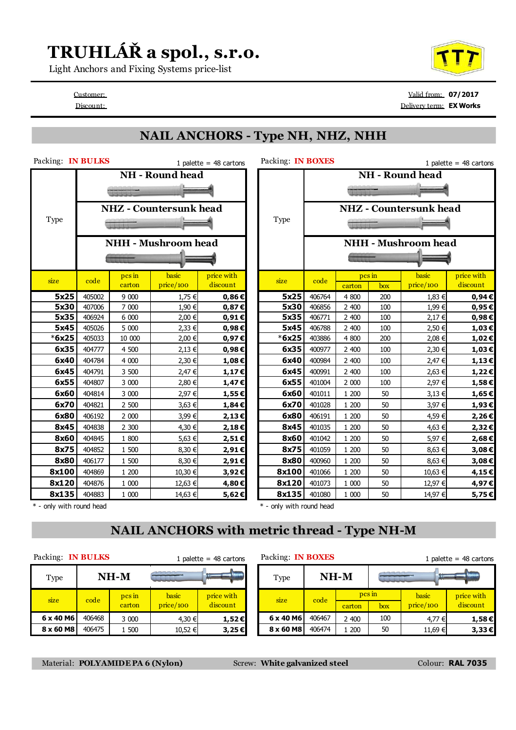## **TRUHLÁŘ a spol., s.r.o.**

Light Anchors and Fixing Systems price-list

Customer: Valid from: **07/2017** Discount: Delivery term: **EX Works**

#### **NAIL ANCHORS - Type NH, NHZ, NHH**

| Packing: IN BULKS<br>1 palette = $48$ cartons |        |              |                               |            | Packing: IN BOXES        |        |              |     |                               | 1 palette = $48$ cartons |  |  |
|-----------------------------------------------|--------|--------------|-------------------------------|------------|--------------------------|--------|--------------|-----|-------------------------------|--------------------------|--|--|
|                                               |        |              | <b>NH</b> - Round head        |            |                          |        |              |     | <b>NH</b> - Round head        |                          |  |  |
|                                               |        |              |                               |            |                          |        |              |     |                               |                          |  |  |
|                                               |        |              | <b>NHZ</b> - Countersunk head |            |                          |        |              |     | <b>NHZ</b> - Countersunk head |                          |  |  |
| Type                                          |        |              |                               |            | Type                     |        |              |     |                               |                          |  |  |
|                                               |        |              | <b>NHH - Mushroom head</b>    |            |                          |        |              |     | <b>NHH - Mushroom head</b>    |                          |  |  |
|                                               |        |              |                               |            |                          |        |              |     |                               |                          |  |  |
| size                                          | code   | $\n  pcs$ in | basic                         | price with | size                     | code   | $\n  pcs$ in |     | basic                         | price with               |  |  |
|                                               |        | carton       | price/100                     | discount   |                          |        | carton       | box | price/100                     | discount                 |  |  |
| 5x25                                          | 405002 | 9 000        | 1,75 €                        | $0,86 \in$ | 5x25                     | 406764 | 4 800        | 200 | 1,83 €                        | 0,94€                    |  |  |
| 5x30                                          | 407006 | 7 000        | 1,90 €                        | 0,87€      | 5x30                     | 406856 | 2 400        | 100 | 1,99 €                        | 0,95E                    |  |  |
| 5x35                                          | 406924 | 6 000        | 2,00 €                        | $0,91 \in$ | 5x35                     | 406771 | 2 400        | 100 | 2,17 €                        | $0,98 \in$               |  |  |
| 5x45                                          | 405026 | 5 000        | 2,33 €                        | 0,98€      | 5x45                     | 406788 | 2 400        | 100 | 2,50 €                        | 1,03€                    |  |  |
| $*6x25$                                       | 405033 | 10 000       | 2,00 €                        | 0,97€      | $*6x25$                  | 403886 | 4 800        | 200 | 2,08 €                        | $1,02 \in$               |  |  |
| 6x35                                          | 404777 | 4 500        | 2,13 €                        | 0,98€      | 6x35                     | 400977 | 2 400        | 100 | 2,30 €                        | 1,03€                    |  |  |
| 6x40                                          | 404784 | 4 000        | 2,30 €                        | 1,08€      | 6x40                     | 400984 | 2 400        | 100 | 2,47 €                        | $1,13 \in$               |  |  |
| 6x45                                          | 404791 | 3 500        | 2,47 €                        | $1,17 \in$ | 6x45                     | 400991 | 2 400        | 100 | 2,63 €                        | 1,22€                    |  |  |
| 6x55                                          | 404807 | 3 000        | 2,80 €                        | 1,47€      | 6x55                     | 401004 | 2 000        | 100 | 2,97 €                        | $1,58 \in$               |  |  |
| 6x60                                          | 404814 | 3 000        | 2,97 €                        | 1,55€      | 6x60                     | 401011 | 1 200        | 50  | 3,13 €                        | $1,65 \in$               |  |  |
| 6x70                                          | 404821 | 2 500        | 3,63 €                        | 1,84€      | 6x70                     | 401028 | 1 200        | 50  | 3,97 €                        | 1,93€                    |  |  |
| 6x80                                          | 406192 | 2 000        | 3,99€                         | 2,13€      | 6x80                     | 406191 | 1 200        | 50  | 4,59€                         | 2,26€                    |  |  |
| 8x45                                          | 404838 | 2 300        | 4,30 €                        | 2,18€      | 8x45                     | 401035 | 1 200        | 50  | 4,63 €                        | 2,32€                    |  |  |
| 8x60                                          | 404845 | 1 800        | 5,63 €                        | 2,51€      | 8x60                     | 401042 | 1 200        | 50  | 5,97€                         | 2,68€                    |  |  |
| 8x75                                          | 404852 | 1 500        | 8,30 €                        | 2,91€      | 8x75                     | 401059 | 1 200        | 50  | 8,63 €                        | 3,08€                    |  |  |
| 8x80                                          | 406177 | 1 500        | 8,30 €                        | 2,91€      | 8x80                     | 400960 | 1 200        | 50  | 8,63 €                        | $3,08 \in$               |  |  |
| 8x100                                         | 404869 | 1 200        | 10,30 €                       | 3,92€      | 8x100                    | 401066 | 1 200        | 50  | 10,63 €                       | 4,15€                    |  |  |
| 8x120                                         | 404876 | 1 000        | 12,63 €                       | 4,80€      | 8x120                    | 401073 | 1 000        | 50  | 12,97 €                       | 4,97€                    |  |  |
| 8x135                                         | 404883 | 1 000        | 14,63 €                       | 5,62€      | 8x135                    | 401080 | 1 000        | 50  | 14,97 €                       | 5,75€                    |  |  |
| * - only with round head                      |        |              |                               |            | * - only with round head |        |              |     |                               |                          |  |  |

#### **NAIL ANCHORS with metric thread - Type NH-M**

Packing: **IN BULKS** 1 palette = 48 cartons Packing: **IN BOXES** 1 palette = 48 cartons

| Type      | $NH-M$                                         |       | بمعمدنا<br><b><i>PITTITT</i></b> |            |      | Type      | $NH-M$           |       |  |
|-----------|------------------------------------------------|-------|----------------------------------|------------|------|-----------|------------------|-------|--|
| size      | basic<br>pcs in<br>code<br>price/100<br>carton |       | price with<br>discount           |            | size | code      | pcs in<br>carton |       |  |
| 6 x 40 M6 | 406468                                         | 3 000 | 4,30 €                           | $1,52 \in$ |      | 6 x 40 M6 | 406467           | 2 400 |  |
| 8 x 60 M8 | 406475                                         | 1 500 | 10,52 €                          | 3,25€      |      | 8 x 60 M8 | 406474           | 1 200 |  |

| Type      | NH-M   |                  |           |            |          | Type      | $NH-M$ |        | <b>STATISTIC</b> |           |            |  |
|-----------|--------|------------------|-----------|------------|----------|-----------|--------|--------|------------------|-----------|------------|--|
| size      | code   | pcs in<br>carton | basic     | price with | discount | size      | code   | pcs in |                  | basic     | price with |  |
|           |        |                  | price/100 |            |          |           |        | carton | box              | price/100 | discount   |  |
| 6 x 40 M6 | 406468 | 3 000            | 4,30 €    | $1,52 \in$ |          | 6 x 40 M6 | 406467 | 2 400  | 100              | 4,77 €    | $1,58 \in$ |  |
| 8 x 60 M8 | 406475 | .500             | 10,52 €   | $3,25 \in$ |          | 8 x 60 M8 | 406474 | 200    | 50               | 11,69 €   | $3,33 \in$ |  |
|           |        |                  |           |            |          |           |        |        |                  |           |            |  |

Material: **POLYAMIDE PA 6 (Nylon)** Screw: **White galvanized steel** Colour: **RAL 7035**